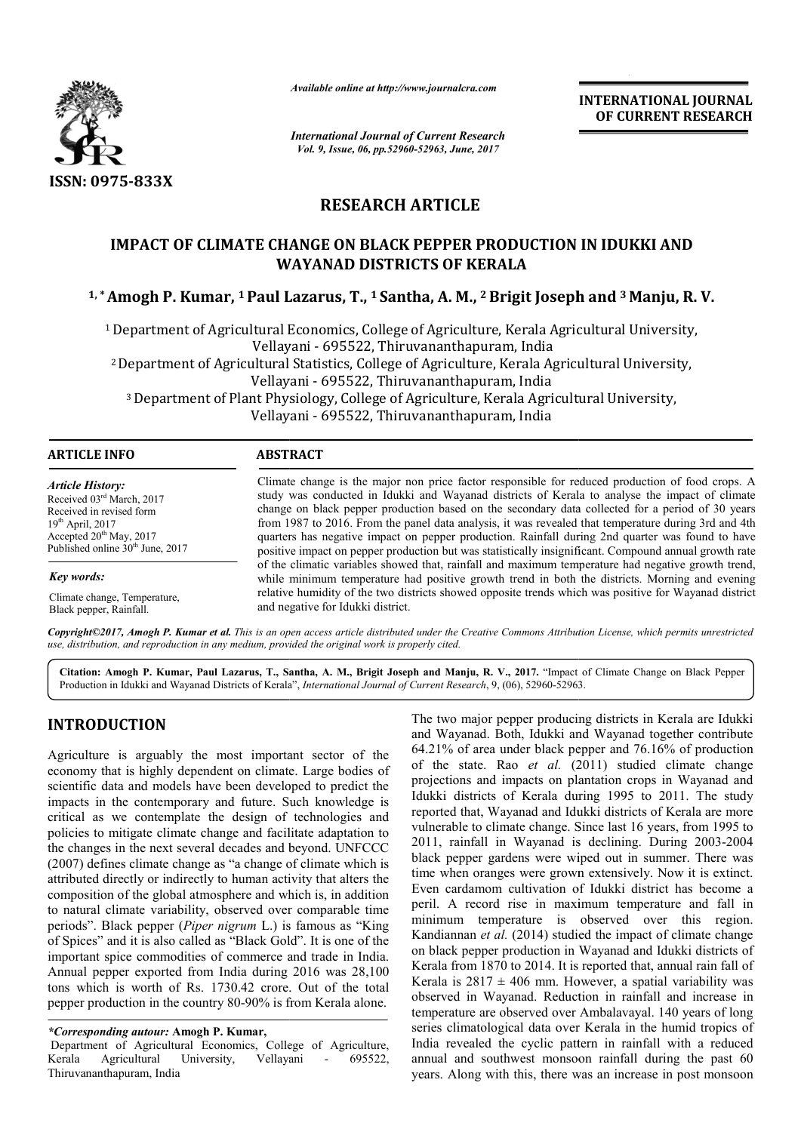

*Available online at http://www.journalcra.com*

*International Journal of Current Research Vol. 9, Issue, 06, pp.52960-52963, June, 2017*

**INTERNATIONAL JOURNAL OF CURRENT RESEARCH** 

# **RESEARCH ARTICLE**

## **IMPACT OF CLIMATE CHANGE ON BLACK PEPPER PRODUCTION IN IDUKKI AND WAYANAD DISTRICTS OF KERALA**

<sup>1,</sup>\*Amogh P. Kumar, <sup>1</sup> Paul Lazarus, T., <sup>1</sup> Santha, A. M., <sup>2</sup> Brigit Joseph and <sup>3</sup> Manju, R. V.

1 Department of Agricultural Economics, College of Agriculture, Kerala Agricultural University, Vellayani - 695522, Thiruvananthapuram, India 2 Department of Agricultural Statistics, College of Agriculture, Kerala Agricultural University, Vellayani - 695522, Thiruvananthapuram, India epartment of Agricultural Economics, College of Agriculture, Kerala Agricultural Univers<br>Vellayani - 695522, Thiruvananthapuram, India<br>Pepartment of Agricultural Statistics, College of Agriculture, Kerala Agricultural Univ Vellayani - 695522, Thiruvananthapuram, India

| <b>ABSTRACT</b>                                                                                                                                                                                                                                                                                                                                                                                                                                                                                                                                                                                                             |  |  |
|-----------------------------------------------------------------------------------------------------------------------------------------------------------------------------------------------------------------------------------------------------------------------------------------------------------------------------------------------------------------------------------------------------------------------------------------------------------------------------------------------------------------------------------------------------------------------------------------------------------------------------|--|--|
| Climate change is the major non price factor responsible for reduced production of food crops. A<br>study was conducted in Idukki and Wayanad districts of Kerala to analyse the impact of climate<br>change on black pepper production based on the secondary data collected for a period of 30 years<br>from 1987 to 2016. From the panel data analysis, it was revealed that temperature during 3rd and 4th<br>quarters has negative impact on pepper production. Rainfall during 2nd quarter was found to have<br>positive impact on pepper production but was statistically insignificant. Compound annual growth rate |  |  |
| of the climatic variables showed that, rainfall and maximum temperature had negative growth trend,<br>while minimum temperature had positive growth trend in both the districts. Morning and evening                                                                                                                                                                                                                                                                                                                                                                                                                        |  |  |
| relative humidity of the two districts showed opposite trends which was positive for Wayanad district<br>and negative for Idukki district.                                                                                                                                                                                                                                                                                                                                                                                                                                                                                  |  |  |
|                                                                                                                                                                                                                                                                                                                                                                                                                                                                                                                                                                                                                             |  |  |

*Copyright©2017, Amogh P. Kumar et al. This is an open access article distributed under the Creative Commons Att Attribution License, which ribution which permits unrestricted use, distribution, and reproduction in any medium, provided the original work is properly cited.*

Citation: Amogh P. Kumar, Paul Lazarus, T., Santha, A. M., Brigit Joseph and Manju, R. V., 2017. "Impact of Climate Change on Black Pepper<br>Production in Idukki and Wayanad Districts of Kerala", *International Journal of Cu* Production in Idukki and Wayanad Districts of Kerala", *International Journal of Current Research*, 9, (06), 52960-52963.

## **INTRODUCTION**

Agriculture is arguably the most important sector of the economy that is highly dependent on climate. Large bodies of scientific data and models have been developed to predict the impacts in the contemporary and future. Such knowledge is critical as we contemplate the design of technologies and policies to mitigate climate change and facilitate adaptation to the changes in the next several decades and beyond. (2007) defines climate change as "a change of climate which is attributed directly or indirectly to human activity that alters the composition of the global atmosphere and which is, in addition to natural climate variability, observed over comparable time attributed directly or indirectly to human activity that alters the composition of the global atmosphere and which is, in addition to natural climate variability, observed over comparable time periods". Black pepper (*Pipe* of Spices" and it is also called as "Black Gold". It is one of the important spice commodities of commerce and trade in India. Annual pepper exported from India during 2016 was 28,100 tons which is worth of Rs. 1730.42 crore. Out of the total pepper production in the country 80-90% is from Kerala alone. griculture is arguably the most important sector of the conomy that is highly dependent on climate. Large bodies of ientific data and models have been developed to predict the spacts in the contemporary and future. Such kn

Department of Agricultural Economics, College of Agriculture, Kerala Agricultural University, Vellayani Thiruvananthapuram, India - 695522,

The two major pepper producing districts in Kerala are Idukki and Wayanad. Both, Idukki and Wayanad together contribute 64.21% of area under black pepper and 76.16% of production of the state. Rao *et al.* (2011) studied climate change projections and impacts on plantation crops in Wayanad and Idukki districts of Kerala during 1995 to 2011. The study reported that, Wayanad and Idukki districts of Kerala are more vulnerable to climate change. Since last 16 years, from 1995 to 2011, rainfall in Wayanad is declining. During 2003 black pepper gardens were wiped out in summer. There was time when oranges were grown extensively. Now it is extinct. Even cardamom cultivation of Idukki district has become a peril. A record rise in maximum temperature and fall in minimum temperature is observed over this region. Kandiannan *et al.* (2014) studied the impact of climate change on black pepper production in Wayanad and Idukki districts of Kerala from 1870 to 2014. It is reported that, annual rain fall of Kerala is  $2817 \pm 406$  mm. However, a spatial variability was observed in Wayanad. Reduction in rainfall and increase in temperature are observed over Ambalavayal. 140 years of long Kerala is  $2817 \pm 406$  mm. However, a spatial variability was observed in Wayanad. Reduction in rainfall and increase in temperature are observed over Ambalavayal. 140 years of long series climatological data over Kerala India revealed the cyclic pattern in rainfall with a reduced annual and southwest monsoon rainfall during the past 60 years. Along with this, there was an increase in post monsoon and Wayanad. Both, Idukki and Wayanad together contribute 64.21% of area under black pepper and 76.16% of production of the state. Rao *et al.* (2011) studied climate change projections and impacts on plantation crops in W the production of Idukki district has become a A record rise in maximum temperature and fall in temperature is observed over this region.<br>
num temperature is observed over this region.<br>
numal *et al.* (2014) studied the i **INTERNATIONAL JOURNAL**<br> **INTERNATIONAL JOURNAL**<br> **IDENTATION IN IDUKKI AND**<br> **IDENTATION IN IDUKKI AND**<br> **ALA**<br> **IDENTATION IN IDUKKI AND**<br> **EXECUTE AND**<br> **IDENTATION IN IDUKKI AND**<br> **IDENTATION IN IDENTATION INTERNATION** 

*<sup>\*</sup>Corresponding autour:* **Amogh P. Kumar,**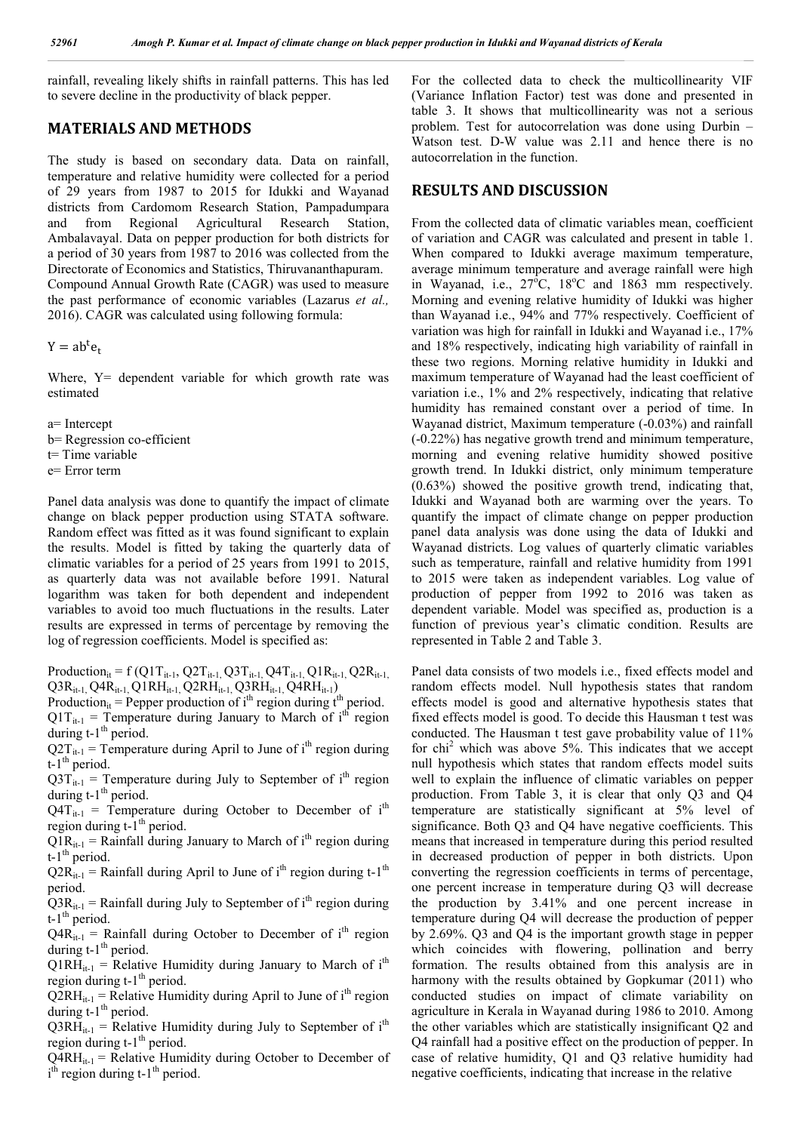rainfall, revealing likely shifts in rainfall patterns. This has led to severe decline in the productivity of black pepper.

### **MATERIALS AND METHODS**

The study is based on secondary data. Data on rainfall, temperature and relative humidity were collected for a period of 29 years from 1987 to 2015 for Idukki and Wayanad districts from Cardomom Research Station, Pampadumpara and from Regional Agricultural Research Station, Ambalavayal. Data on pepper production for both districts for a period of 30 years from 1987 to 2016 was collected from the Directorate of Economics and Statistics, Thiruvananthapuram. Compound Annual Growth Rate (CAGR) was used to measure the past performance of economic variables (Lazarus *et al.,* 2016). CAGR was calculated using following formula:

 $Y = ab<sup>t</sup>e<sub>t</sub>$ 

Where,  $Y =$  dependent variable for which growth rate was estimated

a= Intercept

b= Regression co-efficient

t= Time variable

e= Error term

Panel data analysis was done to quantify the impact of climate change on black pepper production using STATA software. Random effect was fitted as it was found significant to explain the results. Model is fitted by taking the quarterly data of climatic variables for a period of 25 years from 1991 to 2015, as quarterly data was not available before 1991. Natural logarithm was taken for both dependent and independent variables to avoid too much fluctuations in the results. Later results are expressed in terms of percentage by removing the log of regression coefficients. Model is specified as:

Production<sub>it</sub> = f (Q1T<sub>it-1</sub>, Q2T<sub>it-1</sub>, Q3T<sub>it-1</sub>, Q4T<sub>it-1</sub>, Q1R<sub>it-1</sub>, Q2R<sub>it-1</sub>,  $\text{Q3R}_{\text{it-1},\text{}}\text{Q4R}_{\text{it-1},\text{}}\text{Q1RH}_{\text{it-1},\text{}}\text{Q2RH}_{\text{it-1},\text{}}\text{Q3RH}_{\text{it-1},\text{}}\text{Q4RH}_{\text{it-1}}$ 

Production<sub>it</sub> = Pepper production of i<sup>th</sup> region during  $t<sup>th</sup>$  period.  $Q1T_{it-1}$  = Temperature during January to March of i<sup>th</sup> region during  $t-1$ <sup>th</sup> period.

 $Q2T_{it-1}$  = Temperature during April to June of i<sup>th</sup> region during  $t-1$ <sup>th</sup> period.

 $Q3T_{it-1}$  = Temperature during July to September of i<sup>th</sup> region during  $t-1$ <sup>th</sup> period.

 $Q4T_{it-1}$  = Temperature during October to December of i<sup>th</sup> region during  $t-1$ <sup>th</sup> period.

 $Q1R_{it-1}$  = Rainfall during January to March of i<sup>th</sup> region during t-1<sup>th</sup> period.

 $Q2R_{it-1} =$  Rainfall during April to June of i<sup>th</sup> region during t-1<sup>th</sup> period.

 $Q3R_{it-1}$  = Rainfall during July to September of i<sup>th</sup> region during  $t-1$ <sup>th</sup> period.

 $Q4R_{it-1}$  = Rainfall during October to December of i<sup>th</sup> region during  $t-1$ <sup>th</sup> period.

 $Q1RH_{it-1}$  = Relative Humidity during January to March of i<sup>th</sup> region during  $t-1$ <sup>th</sup> period.

 $Q2RH_{it-1}$  = Relative Humidity during April to June of i<sup>th</sup> region during  $t-1$ <sup>th</sup> period.

 $Q3RH_{it-1}$  = Relative Humidity during July to September of i<sup>th</sup> region during t-1<sup>th</sup> period.

 $Q4RH_{it-1}$  = Relative Humidity during October to December of  $i<sup>th</sup>$  region during t-1<sup>th</sup> period.

For the collected data to check the multicollinearity VIF (Variance Inflation Factor) test was done and presented in table 3. It shows that multicollinearity was not a serious problem. Test for autocorrelation was done using Durbin – Watson test. D-W value was 2.11 and hence there is no autocorrelation in the function.

### **RESULTS AND DISCUSSION**

From the collected data of climatic variables mean, coefficient of variation and CAGR was calculated and present in table 1. When compared to Idukki average maximum temperature, average minimum temperature and average rainfall were high in Wayanad, i.e.,  $27^{\circ}$ C,  $18^{\circ}$ C and  $1863$  mm respectively. Morning and evening relative humidity of Idukki was higher than Wayanad i.e., 94% and 77% respectively. Coefficient of variation was high for rainfall in Idukki and Wayanad i.e., 17% and 18% respectively, indicating high variability of rainfall in these two regions. Morning relative humidity in Idukki and maximum temperature of Wayanad had the least coefficient of variation i.e., 1% and 2% respectively, indicating that relative humidity has remained constant over a period of time. In Wayanad district, Maximum temperature (-0.03%) and rainfall (-0.22%) has negative growth trend and minimum temperature, morning and evening relative humidity showed positive growth trend. In Idukki district, only minimum temperature (0.63%) showed the positive growth trend, indicating that, Idukki and Wayanad both are warming over the years. To quantify the impact of climate change on pepper production panel data analysis was done using the data of Idukki and Wayanad districts. Log values of quarterly climatic variables such as temperature, rainfall and relative humidity from 1991 to 2015 were taken as independent variables. Log value of production of pepper from 1992 to 2016 was taken as dependent variable. Model was specified as, production is a function of previous year's climatic condition. Results are represented in Table 2 and Table 3.

Panel data consists of two models i.e., fixed effects model and random effects model. Null hypothesis states that random effects model is good and alternative hypothesis states that fixed effects model is good. To decide this Hausman t test was conducted. The Hausman t test gave probability value of 11% for chi2 which was above 5%. This indicates that we accept null hypothesis which states that random effects model suits well to explain the influence of climatic variables on pepper production. From Table 3, it is clear that only Q3 and Q4 temperature are statistically significant at 5% level of significance. Both Q3 and Q4 have negative coefficients. This means that increased in temperature during this period resulted in decreased production of pepper in both districts. Upon converting the regression coefficients in terms of percentage, one percent increase in temperature during Q3 will decrease the production by 3.41% and one percent increase in temperature during Q4 will decrease the production of pepper by 2.69%. Q3 and Q4 is the important growth stage in pepper which coincides with flowering, pollination and berry formation. The results obtained from this analysis are in harmony with the results obtained by Gopkumar (2011) who conducted studies on impact of climate variability on agriculture in Kerala in Wayanad during 1986 to 2010. Among the other variables which are statistically insignificant Q2 and Q4 rainfall had a positive effect on the production of pepper. In case of relative humidity, Q1 and Q3 relative humidity had negative coefficients, indicating that increase in the relative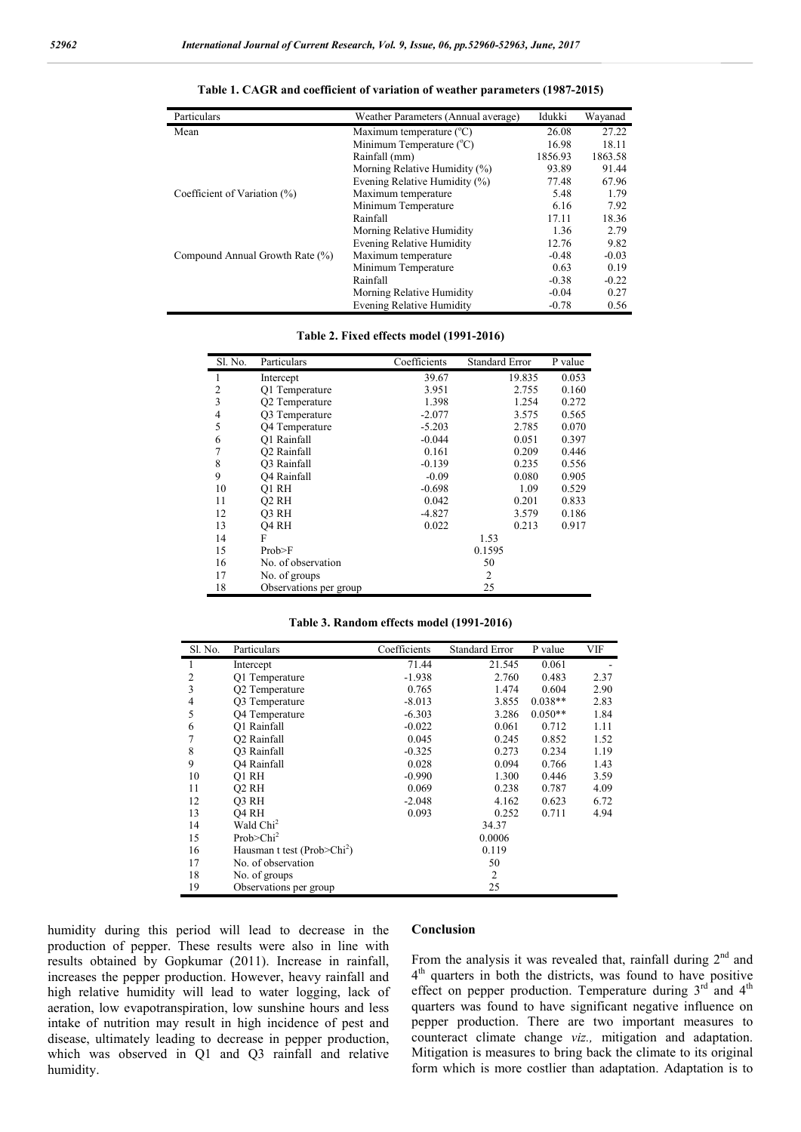| Particulars                      | Weather Parameters (Annual average) | Idukki  | Wayanad |
|----------------------------------|-------------------------------------|---------|---------|
| Mean                             | Maximum temperature $(^{\circ}C)$   | 26.08   | 27.22   |
|                                  | Minimum Temperature $(^{\circ}C)$   | 16.98   | 18.11   |
|                                  | Rainfall (mm)                       | 1856.93 | 1863.58 |
|                                  | Morning Relative Humidity (%)       | 93.89   | 91.44   |
|                                  | Evening Relative Humidity (%)       | 77.48   | 67.96   |
| Coefficient of Variation $(\% )$ | Maximum temperature                 | 5.48    | 1.79    |
|                                  | Minimum Temperature                 | 6.16    | 7.92    |
|                                  | Rainfall                            | 17.11   | 18.36   |
|                                  | Morning Relative Humidity           | 1.36    | 2.79    |
|                                  | Evening Relative Humidity           | 12.76   | 9.82    |
| Compound Annual Growth Rate (%)  | Maximum temperature                 | $-0.48$ | $-0.03$ |
|                                  | Minimum Temperature                 | 0.63    | 0.19    |
|                                  | Rainfall                            | $-0.38$ | $-0.22$ |
|                                  | Morning Relative Humidity           | $-0.04$ | 0.27    |
|                                  | <b>Evening Relative Humidity</b>    | $-0.78$ | 0.56    |

| Table 1. CAGR and coefficient of variation of weather parameters (1987-2015) |  |  |  |  |  |
|------------------------------------------------------------------------------|--|--|--|--|--|
|------------------------------------------------------------------------------|--|--|--|--|--|

#### **Table 2. Fixed effects model (1991-2016)**

| Sl. No.        | Particulars             | Coefficients | <b>Standard Error</b> | P value |
|----------------|-------------------------|--------------|-----------------------|---------|
| 1              | Intercept               | 39.67        | 19.835                | 0.053   |
| $\overline{2}$ | Q1 Temperature          | 3.951        | 2.755                 | 0.160   |
| $\overline{3}$ | Q2 Temperature          | 1.398        | 1.254                 | 0.272   |
| 4              | Q3 Temperature          | $-2.077$     | 3.575                 | 0.565   |
| 5              | Q4 Temperature          | $-5.203$     | 2.785                 | 0.070   |
| 6              | O1 Rainfall             | $-0.044$     | 0.051                 | 0.397   |
| $\overline{7}$ | O <sub>2</sub> Rainfall | 0.161        | 0.209                 | 0.446   |
| 8              | O3 Rainfall             | $-0.139$     | 0.235                 | 0.556   |
| 9              | O4 Rainfall             | $-0.09$      | 0.080                 | 0.905   |
| 10             | O1 RH                   | $-0.698$     | 1.09                  | 0.529   |
| 11             | O <sub>2</sub> RH       | 0.042        | 0.201                 | 0.833   |
| 12             | O3 RH                   | $-4.827$     | 3.579                 | 0.186   |
| 13             | O <sub>4</sub> RH       | 0.022        | 0.213                 | 0.917   |
| 14             | F                       |              | 1.53                  |         |
| 15             | Prob>F                  |              | 0.1595                |         |
| 16             | No. of observation      |              | 50                    |         |
| 17             | No. of groups           |              | $\overline{2}$        |         |
| 18             | Observations per group  |              | 25                    |         |

#### **Table 3. Random effects model (1991-2016)**

| Sl. No.        | Particulars                             | Coefficients   | <b>Standard Error</b> | P value   | VIF  |
|----------------|-----------------------------------------|----------------|-----------------------|-----------|------|
| л.             | Intercept                               | 71.44          | 21.545                | 0.061     |      |
| 2              | O1 Temperature                          | $-1.938$       | 2.760                 | 0.483     | 2.37 |
| 3              | Q2 Temperature                          | 0.765          | 1.474                 | 0.604     | 2.90 |
| $\overline{4}$ | Q3 Temperature                          | $-8.013$       | 3.855                 | $0.038**$ | 2.83 |
| 5              | O4 Temperature                          | $-6.303$       | 3.286                 | $0.050**$ | 1.84 |
| 6              | O1 Rainfall                             | $-0.022$       | 0.061                 | 0.712     | 1.11 |
| 7              | O <sub>2</sub> Rainfall                 | 0.045          | 0.245                 | 0.852     | 1.52 |
| 8              | O3 Rainfall                             | $-0.325$       | 0.273                 | 0.234     | 1.19 |
| 9              | <b>O4</b> Rainfall                      | 0.028          | 0.094                 | 0.766     | 1.43 |
| 10             | O1 RH                                   | $-0.990$       | 1.300                 | 0.446     | 3.59 |
| 11             | O <sub>2</sub> RH                       | 0.069          | 0.238                 | 0.787     | 4.09 |
| 12             | O3 RH                                   | $-2.048$       | 4.162                 | 0.623     | 6.72 |
| 13             | O <sub>4</sub> RH                       | 0.093          | 0.252                 | 0.711     | 4.94 |
| 14             | Wald Chi <sup>2</sup>                   | 34.37          |                       |           |      |
| 15             | Prob > Chi <sup>2</sup>                 | 0.0006         |                       |           |      |
| 16             | Hausman t test (Prob>Chi <sup>2</sup> ) | 0.119          |                       |           |      |
| 17             | No. of observation                      | 50             |                       |           |      |
| 18             | No. of groups                           | $\overline{2}$ |                       |           |      |
| 19             | Observations per group                  |                | 25                    |           |      |

humidity during this period will lead to decrease in the production of pepper. These results were also in line with results obtained by Gopkumar (2011). Increase in rainfall, increases the pepper production. However, heavy rainfall and high relative humidity will lead to water logging, lack of aeration, low evapotranspiration, low sunshine hours and less intake of nutrition may result in high incidence of pest and disease, ultimately leading to decrease in pepper production, which was observed in Q1 and Q3 rainfall and relative humidity.

#### **Conclusion**

From the analysis it was revealed that, rainfall during  $2<sup>nd</sup>$  and 4<sup>th</sup> quarters in both the districts, was found to have positive effect on pepper production. Temperature during  $3<sup>rd</sup>$  and  $4<sup>th</sup>$ quarters was found to have significant negative influence on pepper production. There are two important measures to counteract climate change *viz.,* mitigation and adaptation. Mitigation is measures to bring back the climate to its original form which is more costlier than adaptation. Adaptation is to